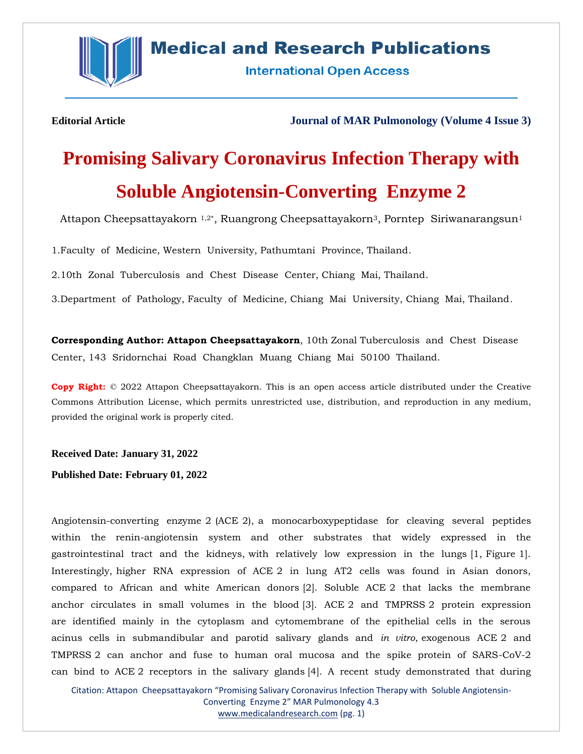

# **Medical and Research Publications**

**International Open Access** 

**Editorial Article Journal of MAR Pulmonology (Volume 4 Issue 3)**

# **Promising Salivary Coronavirus Infection Therapy with Soluble Angiotensin-Converting Enzyme 2**

Attapon Cheepsattayakorn<sup>1,2\*</sup>, Ruangrong Cheepsattayakorn<sup>3</sup>, Porntep Siriwanarangsun<sup>1</sup>

1.Faculty of Medicine, Western University, Pathumtani Province, Thailand.

2.10th Zonal Tuberculosis and Chest Disease Center, Chiang Mai, Thailand.

3.Department of Pathology, Faculty of Medicine, Chiang Mai University, Chiang Mai, Thailand.

**Corresponding Author: Attapon Cheepsattayakorn**, 10th Zonal Tuberculosis and Chest Disease Center, 143 Sridornchai Road Changklan Muang Chiang Mai 50100 Thailand.

**Copy Right:** © 2022 Attapon Cheepsattayakorn. This is an open access article distributed under the Creative Commons Attribution License, which permits unrestricted use, distribution, and reproduction in any medium, provided the original work is properly cited.

**Received Date: January 31, 2022**

**Published Date: February 01, 2022**

Angiotensin-converting enzyme 2 (ACE 2), a monocarboxypeptidase for cleaving several peptides within the renin-angiotensin system and other substrates that widely expressed in the gastrointestinal tract and the kidneys, with relatively low expression in the lungs [1, Figure 1]. Interestingly, higher RNA expression of ACE 2 in lung AT2 cells was found in Asian donors, compared to African and white American donors [2]. Soluble ACE 2 that lacks the membrane anchor circulates in small volumes in the blood [3]. ACE 2 and TMPRSS 2 protein expression are identified mainly in the cytoplasm and cytomembrane of the epithelial cells in the serous acinus cells in submandibular and parotid salivary glands and *in vitro*, exogenous ACE 2 and TMPRSS 2 can anchor and fuse to human oral mucosa and the spike protein of SARS-CoV-2 can bind to ACE 2 receptors in the salivary glands [4]. A recent study demonstrated that during

Citation: Attapon Cheepsattayakorn "Promising Salivary Coronavirus Infection Therapy with Soluble Angiotensin-Converting Enzyme 2" MAR Pulmonology 4.3 [www.medicalandresearch.com](http://www.medicalandresearch.com/) (pg. 1)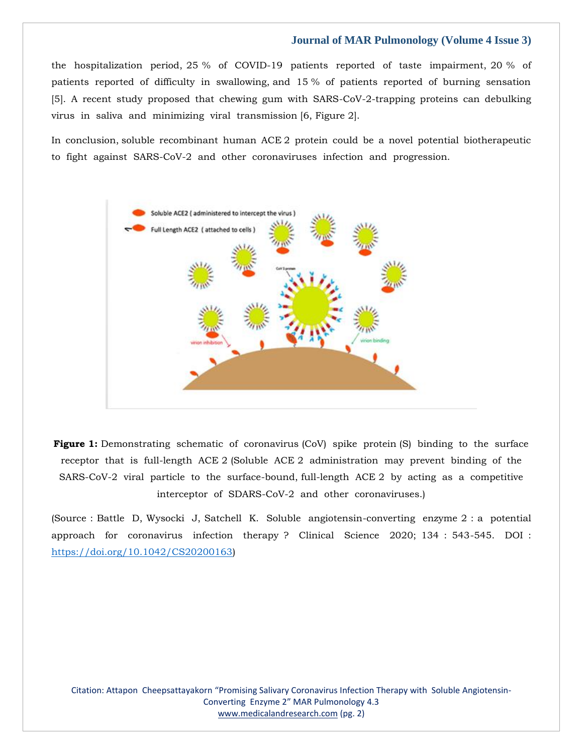## **Journal of MAR Pulmonology (Volume 4 Issue 3)**

the hospitalization period, 25 % of COVID-19 patients reported of taste impairment, 20 % of patients reported of difficulty in swallowing, and 15 % of patients reported of burning sensation [5]. A recent study proposed that chewing gum with SARS-CoV-2-trapping proteins can debulking virus in saliva and minimizing viral transmission [6, Figure 2].

In conclusion, soluble recombinant human ACE 2 protein could be a novel potential biotherapeutic to fight against SARS-CoV-2 and other coronaviruses infection and progression.



**Figure 1:** Demonstrating schematic of coronavirus (CoV) spike protein (S) binding to the surface receptor that is full-length ACE 2 (Soluble ACE 2 administration may prevent binding of the SARS-CoV-2 viral particle to the surface-bound, full-length ACE 2 by acting as a competitive interceptor of SDARS-CoV-2 and other coronaviruses.)

(Source : Battle D, Wysocki J, Satchell K. Soluble angiotensin-converting enzyme 2 : a potential approach for coronavirus infection therapy ? Clinical Science 2020; 134 : 543-545. DOI : [https://doi.org/10.1042/CS20200163\)](https://doi.org/10.1042/CS20200163)

Citation: Attapon Cheepsattayakorn "Promising Salivary Coronavirus Infection Therapy with Soluble Angiotensin-Converting Enzyme 2" MAR Pulmonology 4.3 [www.medicalandresearch.com](http://www.medicalandresearch.com/) (pg. 2)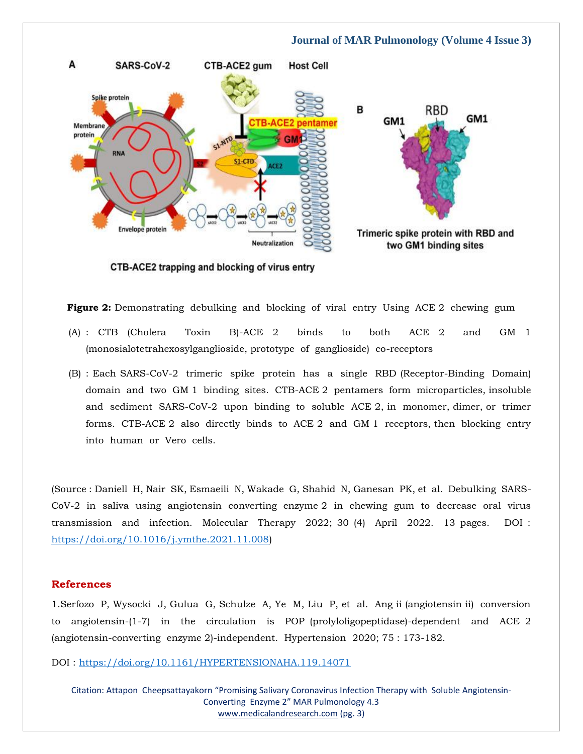#### **Journal of MAR Pulmonology (Volume 4 Issue 3)**



CTB-ACE2 trapping and blocking of virus entry

**Figure 2:** Demonstrating debulking and blocking of viral entry Using ACE 2 chewing gum

- (A) : CTB (Cholera Toxin B)-ACE 2 binds to both ACE 2 and GM 1 (monosialotetrahexosylganglioside, prototype of ganglioside) co-receptors
- (B) : Each SARS-CoV-2 trimeric spike protein has a single RBD (Receptor-Binding Domain) domain and two GM 1 binding sites. CTB-ACE 2 pentamers form microparticles, insoluble and sediment SARS-CoV-2 upon binding to soluble ACE 2, in monomer, dimer, or trimer forms. CTB-ACE 2 also directly binds to ACE 2 and GM 1 receptors, then blocking entry into human or Vero cells.

(Source : Daniell H, Nair SK, Esmaeili N, Wakade G, Shahid N, Ganesan PK, et al. Debulking SARS-CoV-2 in saliva using angiotensin converting enzyme 2 in chewing gum to decrease oral virus transmission and infection. Molecular Therapy 2022; 30 (4) April 2022. 13 pages. DOI : [https://doi.org/10.1016/j.ymthe.2021.11.008\)](https://doi.org/10.1016/j.ymthe.2021.11.008)

#### **References**

1.Serfozo P, Wysocki J, Gulua G, Schulze A, Ye M, Liu P, et al. Ang ii (angiotensin ii) conversion to angiotensin-(1-7) in the circulation is POP (prolyloligopeptidase)-dependent and ACE 2 (angiotensin-converting enzyme 2)-independent. Hypertension 2020; 75 : 173-182.

DOI :<https://doi.org/10.1161/HYPERTENSIONAHA.119.14071>

Citation: Attapon Cheepsattayakorn "Promising Salivary Coronavirus Infection Therapy with Soluble Angiotensin-Converting Enzyme 2" MAR Pulmonology 4.3 [www.medicalandresearch.com](http://www.medicalandresearch.com/) (pg. 3)